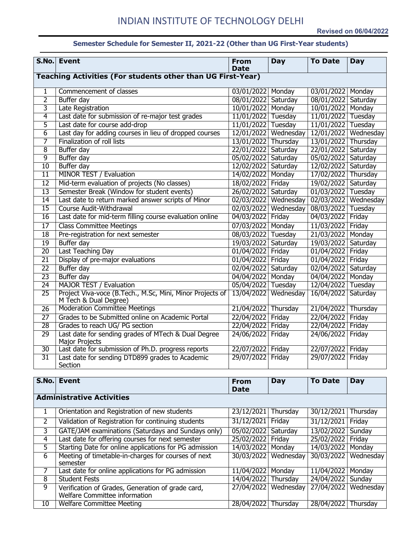## **Semester Schedule for Semester II, 2021-22 (Other than UG First-Year students)**

|                                                                    | S.No. Event                                                                        | <b>From</b><br><b>Date</b> | <b>Day</b>             | <b>To Date</b>      | Day       |  |
|--------------------------------------------------------------------|------------------------------------------------------------------------------------|----------------------------|------------------------|---------------------|-----------|--|
| <b>Teaching Activities (For students other than UG First-Year)</b> |                                                                                    |                            |                        |                     |           |  |
| 1                                                                  | Commencement of classes                                                            | 03/01/2022 Monday          |                        | 03/01/2022 Monday   |           |  |
| $\overline{2}$                                                     | Buffer day                                                                         | 08/01/2022 Saturday        |                        | 08/01/2022          | Saturday  |  |
| 3                                                                  | Late Registration                                                                  | 10/01/2022 Monday          |                        | 10/01/2022          | Monday    |  |
| 4                                                                  | Last date for submission of re-major test grades                                   | 11/01/2022 Tuesday         |                        | 11/01/2022          | Tuesday   |  |
| $\overline{5}$                                                     | Last date for course add-drop                                                      | 11/01/2022 Tuesday         |                        | 11/01/2022          | Tuesday   |  |
| $\overline{6}$                                                     | Last day for adding courses in lieu of dropped courses                             | 12/01/2022                 | Wednesday              | 12/01/2022          | Wednesday |  |
| 7                                                                  | Finalization of roll lists                                                         | 13/01/2022 Thursday        |                        | 13/01/2022          | Thursday  |  |
| $\overline{8}$                                                     | <b>Buffer day</b>                                                                  | 22/01/2022                 | Saturday               | 22/01/2022          | Saturday  |  |
| 9                                                                  | <b>Buffer day</b>                                                                  | 05/02/2022                 | Saturday               | 05/02/2022          | Saturday  |  |
| 10                                                                 | Buffer day                                                                         | 12/02/2022 Saturday        |                        | 12/02/2022 Saturday |           |  |
| $\overline{11}$                                                    | <b>MINOR TEST / Evaluation</b>                                                     | 14/02/2022 Monday          |                        | 17/02/2022          | Thursday  |  |
| $\overline{12}$                                                    | Mid-term evaluation of projects (No classes)                                       | 18/02/2022 Friday          |                        | 19/02/2022          | Saturday  |  |
| 13                                                                 | Semester Break (Window for student events)                                         | 26/02/2022 Saturday        |                        | 01/03/2022          | Tuesday   |  |
| $\overline{14}$                                                    | Last date to return marked answer scripts of Minor                                 |                            | 02/03/2022   Wednesday | 02/03/2022          | Wednesday |  |
| $\overline{15}$                                                    | Course Audit-Withdrawal                                                            | 02/03/2022                 | Wednesday              | 08/03/2022          | Tuesday   |  |
| 16                                                                 | Last date for mid-term filling course evaluation online                            | 04/03/2022                 | Friday                 | 04/03/2022          | Friday    |  |
| $\overline{17}$                                                    | <b>Class Committee Meetings</b>                                                    | 07/03/2022                 | Monday                 | 11/03/2022          | Friday    |  |
| 18                                                                 | Pre-registration for next semester                                                 | 08/03/2022 Tuesday         |                        | 21/03/2022          | Monday    |  |
| $\overline{19}$                                                    | Buffer day                                                                         | 19/03/2022                 | Saturday               | 19/03/2022          | Saturday  |  |
| $\overline{20}$                                                    | Last Teaching Day                                                                  | 01/04/2022                 | Friday                 | 01/04/2022          | Friday    |  |
| $\overline{21}$                                                    | Display of pre-major evaluations                                                   | 01/04/2022                 | Friday                 | 01/04/2022          | Friday    |  |
| $\overline{22}$                                                    | <b>Buffer day</b>                                                                  | 02/04/2022                 | Saturday               | 02/04/2022 Saturday |           |  |
| $\overline{23}$                                                    | Buffer day                                                                         | 04/04/2022                 | Monday                 | 04/04/2022          | Monday    |  |
| 24                                                                 | <b>MAJOR TEST / Evaluation</b>                                                     | 05/04/2022 Tuesday         |                        | 12/04/2022 Tuesday  |           |  |
| $\overline{25}$                                                    | Project Viva-voce (B.Tech., M.Sc, Mini, Minor Projects of<br>M Tech & Dual Degree) |                            | 13/04/2022 Wednesday   | 16/04/2022          | Saturday  |  |
| 26                                                                 | <b>Moderation Committee Meetings</b>                                               | 21/04/2022 Thursday        |                        | 21/04/2022          | Thursday  |  |
| $\overline{27}$                                                    | Grades to be Submitted online on Academic Portal                                   | 22/04/2022                 | Friday                 | 22/04/2022          | Friday    |  |
| 28                                                                 | Grades to reach UG/ PG section                                                     | 22/04/2022                 | Friday                 | 22/04/2022          | Friday    |  |
| 29                                                                 | Last date for sending grades of MTech & Dual Degree<br>Major Projects              | 24/06/2022                 | Friday                 | 24/06/2022          | Friday    |  |
| 30                                                                 | Last date for submission of Ph.D. progress reports                                 | 22/07/2022 Friday          |                        | 22/07/2022 Friday   |           |  |
| 31                                                                 | Last date for sending DTD899 grades to Academic<br>Section                         | 29/07/2022                 | Friday                 | 29/07/2022          | Friday    |  |

| S.No.          | Event                                                                              | <b>From</b><br><b>Date</b> | Day                    | <b>To Date</b>      | Day       |  |  |
|----------------|------------------------------------------------------------------------------------|----------------------------|------------------------|---------------------|-----------|--|--|
|                | <b>Administrative Activities</b>                                                   |                            |                        |                     |           |  |  |
| $\perp$        | Orientation and Registration of new students                                       | 23/12/2021                 | Thursday               | 30/12/2021          | Thursday  |  |  |
| $\overline{2}$ | Validation of Registration for continuing students                                 | 31/12/2021                 | Friday                 | 31/12/2021          | Friday    |  |  |
| 3              | GATE/JAM examinations (Saturdays and Sundays only)                                 | 05/02/2022                 | Saturday               | 13/02/2022          | Sunday    |  |  |
| 4              | Last date for offering courses for next semester                                   | 25/02/2022                 | Friday                 | 25/02/2022 Friday   |           |  |  |
| 5              | Starting Date for online applications for PG admission                             | 14/03/2022 Monday          |                        | 14/03/2022   Monday |           |  |  |
| 6              | Meeting of timetable-in-charges for courses of next<br>semester                    |                            | 30/03/2022   Wednesday | 30/03/2022          | Wednesday |  |  |
|                | Last date for online applications for PG admission                                 | 11/04/2022                 | Monday                 | 11/04/2022          | Monday    |  |  |
| 8              | <b>Student Fests</b>                                                               | 14/04/2022 Thursday        |                        | 24/04/2022          | Sunday    |  |  |
| 9              | Verification of Grades, Generation of grade card,<br>Welfare Committee information | 27/04/2022                 | Wednesday              | 27/04/2022          | Wednesday |  |  |
| 10             | <b>Welfare Committee Meeting</b>                                                   | 28/04/2022                 | Thursday               | 28/04/2022          | Thursday  |  |  |